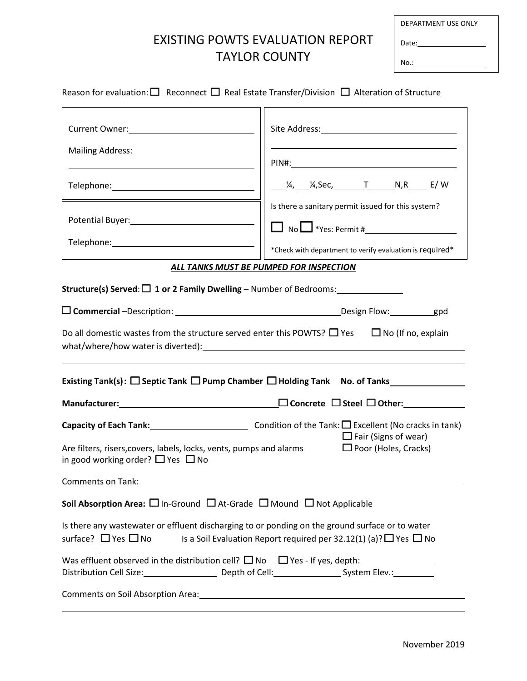## EXISTING POWTS EVALUATION REPORT TAYLOR COUNTY

| DEPARTMENT USE ONLY |  |
|---------------------|--|
| Date:               |  |
| No.:                |  |

| Mailing Address: 1999 Mailing Address: 1999                                                                        |                                                                                                                                                                                |
|--------------------------------------------------------------------------------------------------------------------|--------------------------------------------------------------------------------------------------------------------------------------------------------------------------------|
|                                                                                                                    |                                                                                                                                                                                |
|                                                                                                                    |                                                                                                                                                                                |
|                                                                                                                    | Is there a sanitary permit issued for this system?                                                                                                                             |
| Potential Buyer: 1990 1991 1992 1994                                                                               |                                                                                                                                                                                |
|                                                                                                                    | *Check with department to verify evaluation is required*                                                                                                                       |
|                                                                                                                    | ALL TANKS MUST BE PUMPED FOR INSPECTION                                                                                                                                        |
|                                                                                                                    | Structure(s) Served: $\Box$ 1 or 2 Family Dwelling - Number of Bedrooms: ________________                                                                                      |
|                                                                                                                    |                                                                                                                                                                                |
|                                                                                                                    | Do all domestic wastes from the structure served enter this POWTS? $\Box$ Yes $\Box$ No (If no, explain                                                                        |
|                                                                                                                    |                                                                                                                                                                                |
|                                                                                                                    |                                                                                                                                                                                |
|                                                                                                                    | Capacity of Each Tank: $\sqrt{2}$ Condition of the Tank: $\Box$ Excellent (No cracks in tank)<br>$\Box$ Fair (Signs of wear)                                                   |
| Are filters, risers, covers, labels, locks, vents, pumps and alarms<br>in good working order? $\Box$ Yes $\Box$ No | $\Box$ Poor (Holes, Cracks)                                                                                                                                                    |
| Comments on Tank:                                                                                                  |                                                                                                                                                                                |
|                                                                                                                    | Soil Absorption Area: $\square$ In-Ground $\square$ At-Grade $\square$ Mound $\square$ Not Applicable                                                                          |
| surface? $\Box$ Yes $\Box$ No                                                                                      | Is there any wastewater or effluent discharging to or ponding on the ground surface or to water<br>Is a Soil Evaluation Report required per 32.12(1) (a)? $\Box$ Yes $\Box$ No |
|                                                                                                                    | Distribution Cell Size: 1990 [1991] Depth of Cell: 2008 [1991] System Elev.: 1992                                                                                              |
|                                                                                                                    |                                                                                                                                                                                |